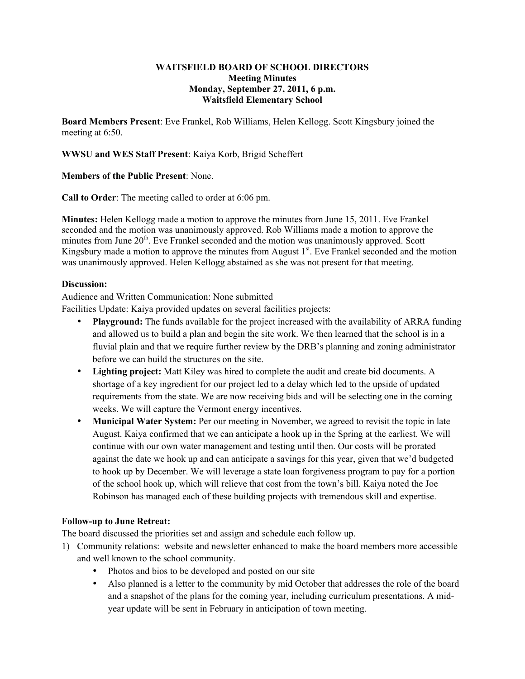#### **WAITSFIELD BOARD OF SCHOOL DIRECTORS Meeting Minutes Monday, September 27, 2011, 6 p.m. Waitsfield Elementary School**

**Board Members Present**: Eve Frankel, Rob Williams, Helen Kellogg. Scott Kingsbury joined the meeting at 6:50.

### **WWSU and WES Staff Present**: Kaiya Korb, Brigid Scheffert

#### **Members of the Public Present**: None.

**Call to Order**: The meeting called to order at 6:06 pm.

**Minutes:** Helen Kellogg made a motion to approve the minutes from June 15, 2011. Eve Frankel seconded and the motion was unanimously approved. Rob Williams made a motion to approve the minutes from June 20<sup>th</sup>. Eve Frankel seconded and the motion was unanimously approved. Scott Kingsbury made a motion to approve the minutes from August  $1<sup>st</sup>$ . Eve Frankel seconded and the motion was unanimously approved. Helen Kellogg abstained as she was not present for that meeting.

## **Discussion:**

Audience and Written Communication: None submitted

Facilities Update: Kaiya provided updates on several facilities projects:

- **Playground:** The funds available for the project increased with the availability of ARRA funding and allowed us to build a plan and begin the site work. We then learned that the school is in a fluvial plain and that we require further review by the DRB's planning and zoning administrator before we can build the structures on the site.
- **Lighting project:** Matt Kiley was hired to complete the audit and create bid documents. A shortage of a key ingredient for our project led to a delay which led to the upside of updated requirements from the state. We are now receiving bids and will be selecting one in the coming weeks. We will capture the Vermont energy incentives.
- **Municipal Water System:** Per our meeting in November, we agreed to revisit the topic in late August. Kaiya confirmed that we can anticipate a hook up in the Spring at the earliest. We will continue with our own water management and testing until then. Our costs will be prorated against the date we hook up and can anticipate a savings for this year, given that we'd budgeted to hook up by December. We will leverage a state loan forgiveness program to pay for a portion of the school hook up, which will relieve that cost from the town's bill. Kaiya noted the Joe Robinson has managed each of these building projects with tremendous skill and expertise.

# **Follow-up to June Retreat:**

The board discussed the priorities set and assign and schedule each follow up.

- 1) Community relations: website and newsletter enhanced to make the board members more accessible and well known to the school community.
	- Photos and bios to be developed and posted on our site
	- Also planned is a letter to the community by mid October that addresses the role of the board and a snapshot of the plans for the coming year, including curriculum presentations. A midyear update will be sent in February in anticipation of town meeting.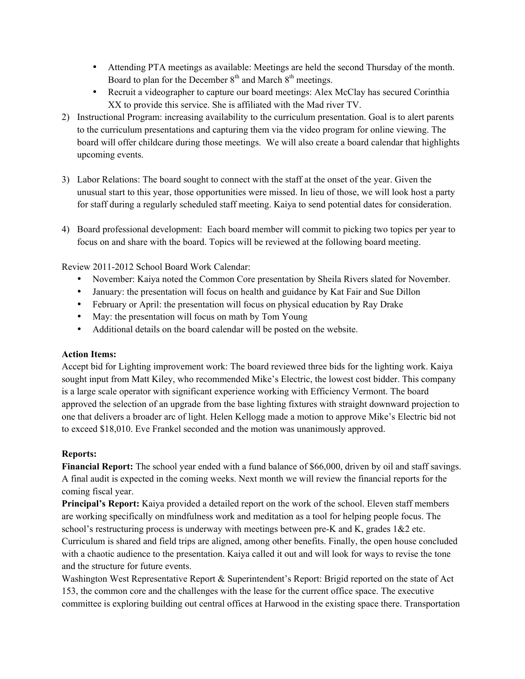- Attending PTA meetings as available: Meetings are held the second Thursday of the month. Board to plan for the December  $8<sup>th</sup>$  and March  $8<sup>th</sup>$  meetings.
- Recruit a videographer to capture our board meetings: Alex McClay has secured Corinthia XX to provide this service. She is affiliated with the Mad river TV.
- 2) Instructional Program: increasing availability to the curriculum presentation. Goal is to alert parents to the curriculum presentations and capturing them via the video program for online viewing. The board will offer childcare during those meetings. We will also create a board calendar that highlights upcoming events.
- 3) Labor Relations: The board sought to connect with the staff at the onset of the year. Given the unusual start to this year, those opportunities were missed. In lieu of those, we will look host a party for staff during a regularly scheduled staff meeting. Kaiya to send potential dates for consideration.
- 4) Board professional development: Each board member will commit to picking two topics per year to focus on and share with the board. Topics will be reviewed at the following board meeting.

Review 2011-2012 School Board Work Calendar:

- November: Kaiya noted the Common Core presentation by Sheila Rivers slated for November.
- January: the presentation will focus on health and guidance by Kat Fair and Sue Dillon
- February or April: the presentation will focus on physical education by Ray Drake
- May: the presentation will focus on math by Tom Young
- Additional details on the board calendar will be posted on the website.

# **Action Items:**

Accept bid for Lighting improvement work: The board reviewed three bids for the lighting work. Kaiya sought input from Matt Kiley, who recommended Mike's Electric, the lowest cost bidder. This company is a large scale operator with significant experience working with Efficiency Vermont. The board approved the selection of an upgrade from the base lighting fixtures with straight downward projection to one that delivers a broader arc of light. Helen Kellogg made a motion to approve Mike's Electric bid not to exceed \$18,010. Eve Frankel seconded and the motion was unanimously approved.

# **Reports:**

**Financial Report:** The school year ended with a fund balance of \$66,000, driven by oil and staff savings. A final audit is expected in the coming weeks. Next month we will review the financial reports for the coming fiscal year.

**Principal's Report:** Kaiya provided a detailed report on the work of the school. Eleven staff members are working specifically on mindfulness work and meditation as a tool for helping people focus. The school's restructuring process is underway with meetings between pre-K and K, grades 1&2 etc. Curriculum is shared and field trips are aligned, among other benefits. Finally, the open house concluded with a chaotic audience to the presentation. Kaiya called it out and will look for ways to revise the tone and the structure for future events.

Washington West Representative Report & Superintendent's Report: Brigid reported on the state of Act 153, the common core and the challenges with the lease for the current office space. The executive committee is exploring building out central offices at Harwood in the existing space there. Transportation